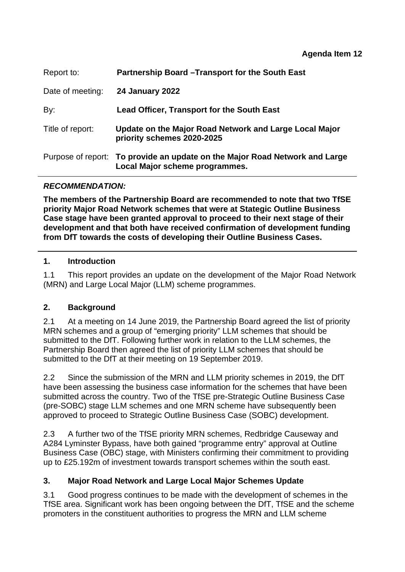| Report to:       | Partnership Board - Transport for the South East                                                              |
|------------------|---------------------------------------------------------------------------------------------------------------|
| Date of meeting: | <b>24 January 2022</b>                                                                                        |
| By:              | <b>Lead Officer, Transport for the South East</b>                                                             |
| Title of report: | Update on the Major Road Network and Large Local Major<br>priority schemes 2020-2025                          |
|                  | Purpose of report: To provide an update on the Major Road Network and Large<br>Local Major scheme programmes. |

# *RECOMMENDATION:*

**The members of the Partnership Board are recommended to note that two TfSE priority Major Road Network schemes that were at Stategic Outline Business Case stage have been granted approval to proceed to their next stage of their development and that both have received confirmation of development funding from DfT towards the costs of developing their Outline Business Cases.** 

## **1. Introduction**

1.1 This report provides an update on the development of the Major Road Network (MRN) and Large Local Major (LLM) scheme programmes.

# **2. Background**

2.1 At a meeting on 14 June 2019, the Partnership Board agreed the list of priority MRN schemes and a group of "emerging priority" LLM schemes that should be submitted to the DfT. Following further work in relation to the LLM schemes, the Partnership Board then agreed the list of priority LLM schemes that should be submitted to the DfT at their meeting on 19 September 2019.

2.2 Since the submission of the MRN and LLM priority schemes in 2019, the DfT have been assessing the business case information for the schemes that have been submitted across the country. Two of the TfSE pre-Strategic Outline Business Case (pre-SOBC) stage LLM schemes and one MRN scheme have subsequently been approved to proceed to Strategic Outline Business Case (SOBC) development.

2.3 A further two of the TfSE priority MRN schemes, Redbridge Causeway and A284 Lyminster Bypass, have both gained "programme entry" approval at Outline Business Case (OBC) stage, with Ministers confirming their commitment to providing up to £25.192m of investment towards transport schemes within the south east.

# **3. Major Road Network and Large Local Major Schemes Update**

3.1 Good progress continues to be made with the development of schemes in the TfSE area. Significant work has been ongoing between the DfT, TfSE and the scheme promoters in the constituent authorities to progress the MRN and LLM scheme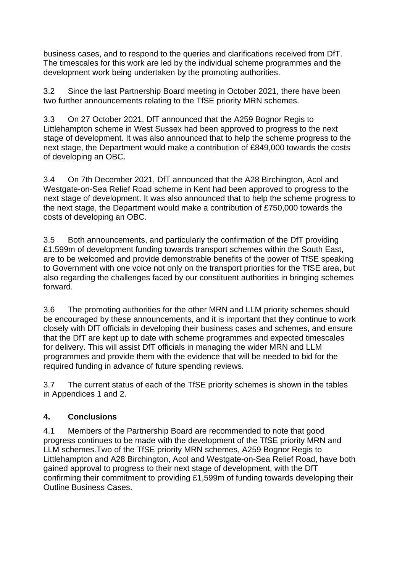business cases, and to respond to the queries and clarifications received from DfT. The timescales for this work are led by the individual scheme programmes and the development work being undertaken by the promoting authorities.

3.2 Since the last Partnership Board meeting in October 2021, there have been two further announcements relating to the TfSE priority MRN schemes.

3.3 On 27 October 2021, DfT announced that the A259 Bognor Regis to Littlehampton scheme in West Sussex had been approved to progress to the next stage of development. It was also announced that to help the scheme progress to the next stage, the Department would make a contribution of £849,000 towards the costs of developing an OBC.

3.4 On 7th December 2021, DfT announced that the A28 Birchington, Acol and Westgate-on-Sea Relief Road scheme in Kent had been approved to progress to the next stage of development. It was also announced that to help the scheme progress to the next stage, the Department would make a contribution of £750,000 towards the costs of developing an OBC.

3.5 Both announcements, and particularly the confirmation of the DfT providing £1.599m of development funding towards transport schemes within the South East, are to be welcomed and provide demonstrable benefits of the power of TfSE speaking to Government with one voice not only on the transport priorities for the TfSE area, but also regarding the challenges faced by our constituent authorities in bringing schemes forward.

3.6 The promoting authorities for the other MRN and LLM priority schemes should be encouraged by these announcements, and it is important that they continue to work closely with DfT officials in developing their business cases and schemes, and ensure that the DfT are kept up to date with scheme programmes and expected timescales for delivery. This will assist DfT officials in managing the wider MRN and LLM programmes and provide them with the evidence that will be needed to bid for the required funding in advance of future spending reviews.

3.7 The current status of each of the TfSE priority schemes is shown in the tables in Appendices 1 and 2.

# **4. Conclusions**

4.1 Members of the Partnership Board are recommended to note that good progress continues to be made with the development of the TfSE priority MRN and LLM schemes.Two of the TfSE priority MRN schemes, A259 Bognor Regis to Littlehampton and A28 Birchington, Acol and Westgate-on-Sea Relief Road, have both gained approval to progress to their next stage of development, with the DfT confirming their commitment to providing £1,599m of funding towards developing their Outline Business Cases.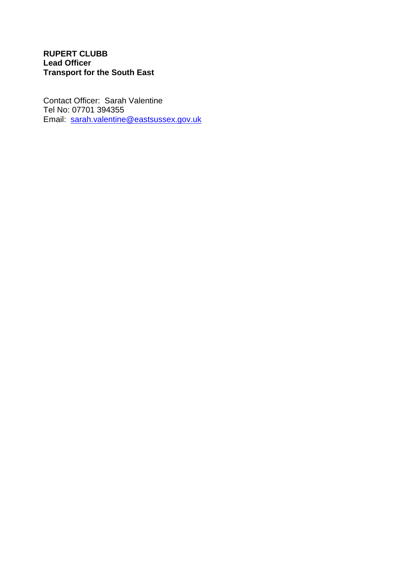## **RUPERT CLUBB Lead Officer Transport for the South East**

Contact Officer: Sarah Valentine Tel No: 07701 394355 Email: [sarah.valentine@eastsussex.gov.uk](mailto:sarah.valentine@eastsussex.gov.uk)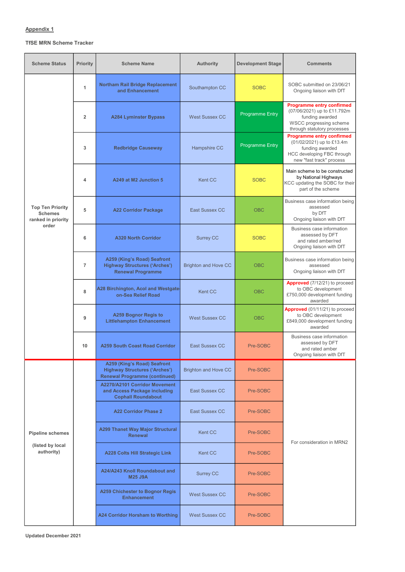## Appendix 1

### TfSE MRN Scheme Tracker

| <b>Scheme Status</b>                                                     | <b>Priority</b> | <b>Scheme Name</b>                                                                                          | <b>Authority</b>            | <b>Development Stage</b> | <b>Comments</b>                                                                                                                              |
|--------------------------------------------------------------------------|-----------------|-------------------------------------------------------------------------------------------------------------|-----------------------------|--------------------------|----------------------------------------------------------------------------------------------------------------------------------------------|
| <b>Top Ten Priority</b><br><b>Schemes</b><br>ranked in priority<br>order | 1               | <b>Northam Rail Bridge Replacement</b><br>and Enhancement                                                   | Southampton CC              | <b>SOBC</b>              | SOBC submitted on 23/06/21<br>Ongoing liaison with DfT                                                                                       |
|                                                                          | $\overline{2}$  | <b>A284 Lyminster Bypass</b>                                                                                | <b>West Sussex CC</b>       | Programme Entry          | <b>Programme entry confirmed</b><br>(07/06/2021) up to £11.792m<br>funding awarded<br>WSCC progressing scheme<br>through statutory processes |
|                                                                          | $\mathbf{3}$    | <b>Redbridge Causeway</b>                                                                                   | Hampshire CC                | <b>Programme Entry</b>   | <b>Programme entry confirmed</b><br>(01/02/2021) up to £13.4m<br>funding awarded<br>HCC developing FBC through<br>new "fast track" process   |
|                                                                          | 4               | A249 at M2 Junction 5                                                                                       | <b>Kent CC</b>              | <b>SOBC</b>              | Main scheme to be constructed<br>by National Highways<br>KCC updating the SOBC for their<br>part of the scheme                               |
|                                                                          | 5               | <b>A22 Corridor Package</b>                                                                                 | <b>East Sussex CC</b>       | <b>OBC</b>               | Business case information being<br>assessed<br>by DfT<br>Ongoing liaison with DfT                                                            |
|                                                                          | 6               | <b>A320 North Corridor</b>                                                                                  | <b>Surrey CC</b>            | <b>SOBC</b>              | Business case information<br>assessed by DFT<br>and rated amber/red<br>Ongoing liaison with DfT                                              |
|                                                                          | $\overline{7}$  | A259 (King's Road) Seafront<br><b>Highway Structures ('Arches')</b><br><b>Renewal Programme</b>             | <b>Brighton and Hove CC</b> | <b>OBC</b>               | Business case information being<br>assessed<br>Ongoing liaison with DfT                                                                      |
|                                                                          | 8               | A28 Birchington, Acol and Westgate-<br>on-Sea Relief Road                                                   | <b>Kent CC</b>              | <b>OBC</b>               | Approved (7/12/21) to proceed<br>to OBC development<br>£750,000 development funding<br>awarded                                               |
|                                                                          | 9               | <b>A259 Bognor Regis to</b><br><b>Littlehampton Enhancement</b>                                             | <b>West Sussex CC</b>       | <b>OBC</b>               | <b>Approved</b> (01/11/21) to proceed<br>to OBC development<br>£849,000 development funding<br>awarded                                       |
|                                                                          | 10              | <b>A259 South Coast Road Corridor</b>                                                                       | <b>East Sussex CC</b>       | Pre-SOBC                 | <b>Business case information</b><br>assessed by DFT<br>and rated amber<br>Ongoing liaison with DfT                                           |
| <b>Pipeline schemes</b><br>(listed by local<br>authority)                |                 | A259 (King's Road) Seafront<br><b>Highway Structures ('Arches')</b><br><b>Renewal Programme (continued)</b> | <b>Brighton and Hove CC</b> | Pre-SOBC                 |                                                                                                                                              |
|                                                                          |                 | A2270/A2101 Corridor Movement<br>and Access Package including<br><b>Cophall Roundabout</b>                  | <b>East Sussex CC</b>       | Pre-SOBC                 |                                                                                                                                              |
|                                                                          |                 | <b>A22 Corridor Phase 2</b>                                                                                 | <b>East Sussex CC</b>       | Pre-SOBC                 |                                                                                                                                              |
|                                                                          |                 | <b>A299 Thanet Way Major Structural</b><br><b>Renewal</b>                                                   | <b>Kent CC</b>              | Pre-SOBC                 | For consideration in MRN2                                                                                                                    |
|                                                                          |                 | <b>A228 Colts Hill Strategic Link</b>                                                                       | <b>Kent CC</b>              | Pre-SOBC                 |                                                                                                                                              |
|                                                                          |                 | A24/A243 Knoll Roundabout and<br><b>M25 J9A</b>                                                             | <b>Surrey CC</b>            | Pre-SOBC                 |                                                                                                                                              |
|                                                                          |                 | <b>A259 Chichester to Bognor Regis</b><br><b>Enhancement</b>                                                | <b>West Sussex CC</b>       | Pre-SOBC                 |                                                                                                                                              |
|                                                                          |                 | <b>A24 Corridor Horsham to Worthing</b>                                                                     | <b>West Sussex CC</b>       | Pre-SOBC                 |                                                                                                                                              |

Updated December 2021